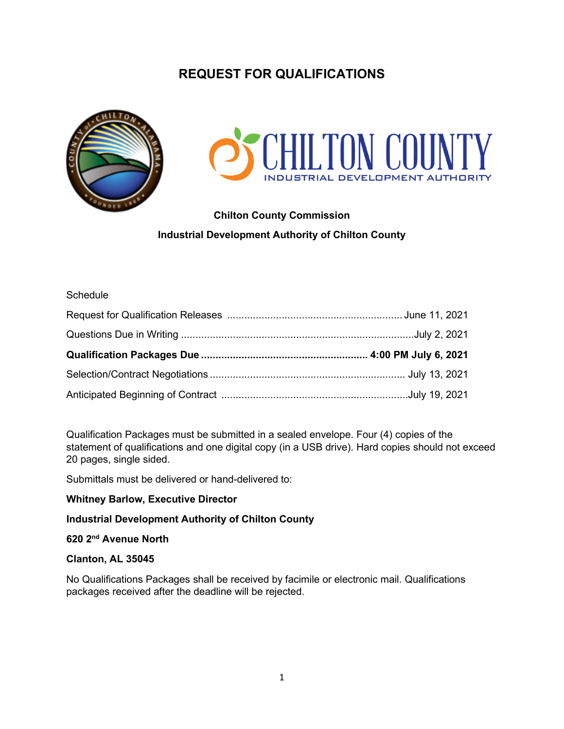# **REQUEST FOR QUALIFICATIONS**





# **Chilton County Commission Industrial Development Authority of Chilton County**

#### **Schedule**

Qualification Packages must be submitted in a sealed envelope. Four (4) copies of the statement of qualifications and one digital copy (in a USB drive). Hard copies should not exceed 20 pages, single sided.

Submittals must be delivered or hand-delivered to:

#### **Whitney Barlow, Executive Director**

## **Industrial Development Authority of Chilton County**

# **620 2nd Avenue North**

#### **Clanton, AL 35045**

No Qualifications Packages shall be received by facimile or electronic mail. Qualifications packages received after the deadline will be rejected.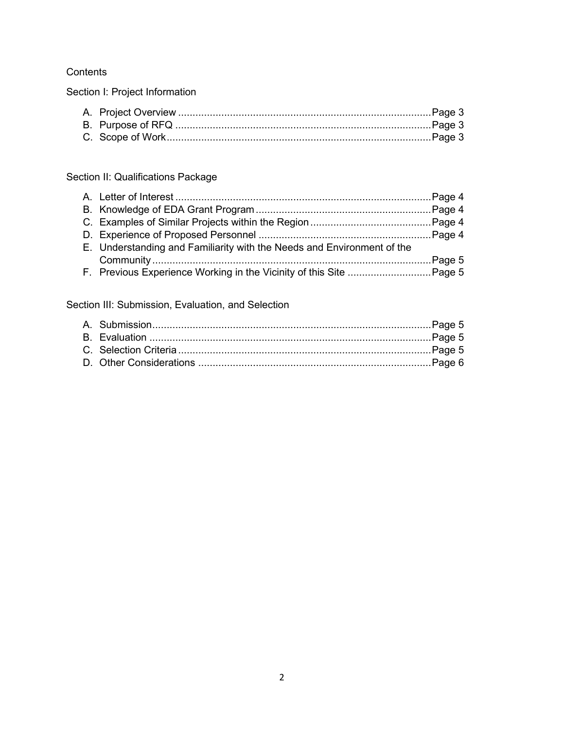# **Contents**

Section I: Project Information

# Section II: Qualifications Package

| E. Understanding and Familiarity with the Needs and Environment of the |  |
|------------------------------------------------------------------------|--|
|                                                                        |  |
|                                                                        |  |

Section III: Submission, Evaluation, and Selection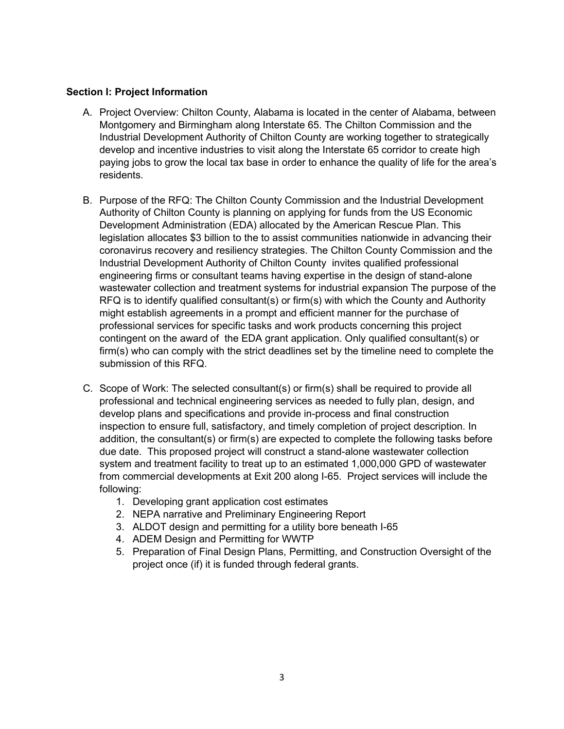## **Section I: Project Information**

- A. Project Overview: Chilton County, Alabama is located in the center of Alabama, between Montgomery and Birmingham along Interstate 65. The Chilton Commission and the Industrial Development Authority of Chilton County are working together to strategically develop and incentive industries to visit along the Interstate 65 corridor to create high paying jobs to grow the local tax base in order to enhance the quality of life for the area's residents.
- B. Purpose of the RFQ: The Chilton County Commission and the Industrial Development Authority of Chilton County is planning on applying for funds from the US Economic Development Administration (EDA) allocated by the American Rescue Plan. This legislation allocates \$3 billion to the to assist communities nationwide in advancing their coronavirus recovery and resiliency strategies. The Chilton County Commission and the Industrial Development Authority of Chilton County invites qualified professional engineering firms or consultant teams having expertise in the design of stand-alone wastewater collection and treatment systems for industrial expansion The purpose of the RFQ is to identify qualified consultant(s) or firm(s) with which the County and Authority might establish agreements in a prompt and efficient manner for the purchase of professional services for specific tasks and work products concerning this project contingent on the award of the EDA grant application. Only qualified consultant(s) or firm(s) who can comply with the strict deadlines set by the timeline need to complete the submission of this RFQ.
- C. Scope of Work: The selected consultant(s) or firm(s) shall be required to provide all professional and technical engineering services as needed to fully plan, design, and develop plans and specifications and provide in-process and final construction inspection to ensure full, satisfactory, and timely completion of project description. In addition, the consultant(s) or firm(s) are expected to complete the following tasks before due date. This proposed project will construct a stand-alone wastewater collection system and treatment facility to treat up to an estimated 1,000,000 GPD of wastewater from commercial developments at Exit 200 along I-65. Project services will include the following:
	- 1. Developing grant application cost estimates
	- 2. NEPA narrative and Preliminary Engineering Report
	- 3. ALDOT design and permitting for a utility bore beneath I-65
	- 4. ADEM Design and Permitting for WWTP
	- 5. Preparation of Final Design Plans, Permitting, and Construction Oversight of the project once (if) it is funded through federal grants.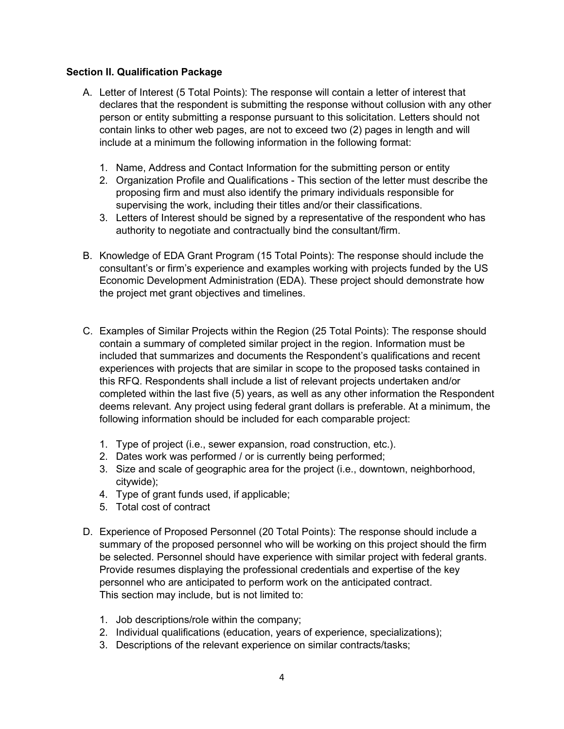# **Section II. Qualification Package**

- A. Letter of Interest (5 Total Points): The response will contain a letter of interest that declares that the respondent is submitting the response without collusion with any other person or entity submitting a response pursuant to this solicitation. Letters should not contain links to other web pages, are not to exceed two (2) pages in length and will include at a minimum the following information in the following format:
	- 1. Name, Address and Contact Information for the submitting person or entity
	- 2. Organization Profile and Qualifications This section of the letter must describe the proposing firm and must also identify the primary individuals responsible for supervising the work, including their titles and/or their classifications.
	- 3. Letters of Interest should be signed by a representative of the respondent who has authority to negotiate and contractually bind the consultant/firm.
- B. Knowledge of EDA Grant Program (15 Total Points): The response should include the consultant's or firm's experience and examples working with projects funded by the US Economic Development Administration (EDA). These project should demonstrate how the project met grant objectives and timelines.
- C. Examples of Similar Projects within the Region (25 Total Points): The response should contain a summary of completed similar project in the region. Information must be included that summarizes and documents the Respondent's qualifications and recent experiences with projects that are similar in scope to the proposed tasks contained in this RFQ. Respondents shall include a list of relevant projects undertaken and/or completed within the last five (5) years, as well as any other information the Respondent deems relevant. Any project using federal grant dollars is preferable. At a minimum, the following information should be included for each comparable project:
	- 1. Type of project (i.e., sewer expansion, road construction, etc.).
	- 2. Dates work was performed / or is currently being performed;
	- 3. Size and scale of geographic area for the project (i.e., downtown, neighborhood, citywide);
	- 4. Type of grant funds used, if applicable;
	- 5. Total cost of contract
- D. Experience of Proposed Personnel (20 Total Points): The response should include a summary of the proposed personnel who will be working on this project should the firm be selected. Personnel should have experience with similar project with federal grants. Provide resumes displaying the professional credentials and expertise of the key personnel who are anticipated to perform work on the anticipated contract. This section may include, but is not limited to:
	- 1. Job descriptions/role within the company;
	- 2. Individual qualifications (education, years of experience, specializations);
	- 3. Descriptions of the relevant experience on similar contracts/tasks;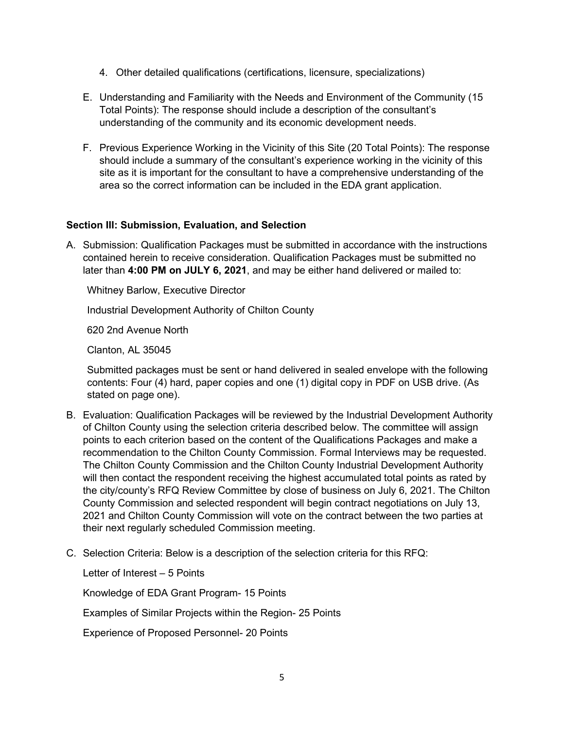- 4. Other detailed qualifications (certifications, licensure, specializations)
- E. Understanding and Familiarity with the Needs and Environment of the Community (15 Total Points): The response should include a description of the consultant's understanding of the community and its economic development needs.
- F. Previous Experience Working in the Vicinity of this Site (20 Total Points): The response should include a summary of the consultant's experience working in the vicinity of this site as it is important for the consultant to have a comprehensive understanding of the area so the correct information can be included in the EDA grant application.

## **Section III: Submission, Evaluation, and Selection**

A. Submission: Qualification Packages must be submitted in accordance with the instructions contained herein to receive consideration. Qualification Packages must be submitted no later than **4:00 PM on JULY 6, 2021**, and may be either hand delivered or mailed to:

Whitney Barlow, Executive Director

Industrial Development Authority of Chilton County

620 2nd Avenue North

Clanton, AL 35045

Submitted packages must be sent or hand delivered in sealed envelope with the following contents: Four (4) hard, paper copies and one (1) digital copy in PDF on USB drive. (As stated on page one).

- B. Evaluation: Qualification Packages will be reviewed by the Industrial Development Authority of Chilton County using the selection criteria described below. The committee will assign points to each criterion based on the content of the Qualifications Packages and make a recommendation to the Chilton County Commission. Formal Interviews may be requested. The Chilton County Commission and the Chilton County Industrial Development Authority will then contact the respondent receiving the highest accumulated total points as rated by the city/county's RFQ Review Committee by close of business on July 6, 2021. The Chilton County Commission and selected respondent will begin contract negotiations on July 13, 2021 and Chilton County Commission will vote on the contract between the two parties at their next regularly scheduled Commission meeting.
- C. Selection Criteria: Below is a description of the selection criteria for this RFQ:

Letter of Interest – 5 Points

Knowledge of EDA Grant Program- 15 Points

Examples of Similar Projects within the Region- 25 Points

Experience of Proposed Personnel- 20 Points